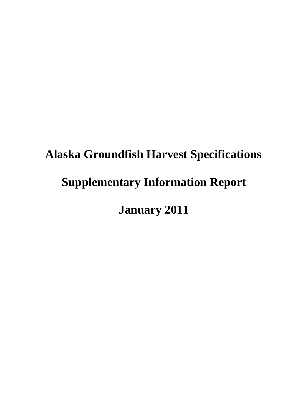# **Alaska Groundfish Harvest Specifications Supplementary Information Report January 2011**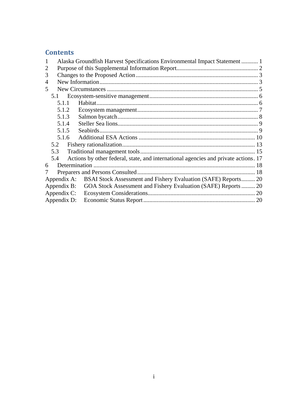# **Contents**

|   | Alaska Groundfish Harvest Specifications Environmental Impact Statement  1 |                                                                                     |  |  |  |
|---|----------------------------------------------------------------------------|-------------------------------------------------------------------------------------|--|--|--|
|   |                                                                            |                                                                                     |  |  |  |
| 3 |                                                                            |                                                                                     |  |  |  |
| 4 |                                                                            |                                                                                     |  |  |  |
| 5 |                                                                            |                                                                                     |  |  |  |
|   | 5.1                                                                        |                                                                                     |  |  |  |
|   | 5.1.1                                                                      |                                                                                     |  |  |  |
|   | 5.1.2                                                                      |                                                                                     |  |  |  |
|   | 5.1.3                                                                      |                                                                                     |  |  |  |
|   | 5.1.4                                                                      |                                                                                     |  |  |  |
|   | 5.1.5                                                                      |                                                                                     |  |  |  |
|   | 5.1.6                                                                      |                                                                                     |  |  |  |
|   | 5.2                                                                        |                                                                                     |  |  |  |
|   | 5.3                                                                        |                                                                                     |  |  |  |
|   | 5.4                                                                        | Actions by other federal, state, and international agencies and private actions. 17 |  |  |  |
| 6 |                                                                            |                                                                                     |  |  |  |
|   |                                                                            |                                                                                     |  |  |  |
|   |                                                                            | Appendix A: BSAI Stock Assessment and Fishery Evaluation (SAFE) Reports 20          |  |  |  |
|   | Appendix B:                                                                | GOA Stock Assessment and Fishery Evaluation (SAFE) Reports 20                       |  |  |  |
|   | Appendix C:                                                                |                                                                                     |  |  |  |
|   | Appendix D:                                                                |                                                                                     |  |  |  |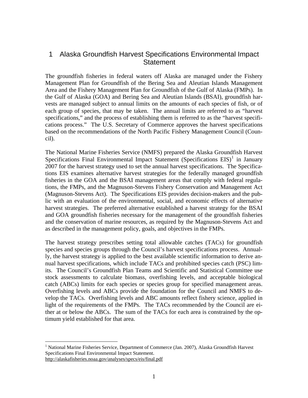## <span id="page-2-0"></span>1 Alaska Groundfish Harvest Specifications Environmental Impact **Statement**

The groundfish fisheries in federal waters off Alaska are managed under the Fishery Management Plan for Groundfish of the Bering Sea and Aleutian Islands Management Area and the Fishery Management Plan for Groundfish of the Gulf of Alaska (FMPs). In the Gulf of Alaska (GOA) and Bering Sea and Aleutian Islands (BSAI), groundfish harvests are managed subject to annual limits on the amounts of each species of fish, or of each group of species, that may be taken. The annual limits are referred to as "harvest specifications," and the process of establishing them is referred to as the "harvest specifications process." The U.S. Secretary of Commerce approves the harvest specifications based on the recommendations of the North Pacific Fishery Management Council (Council).

The National Marine Fisheries Service (NMFS) prepared the Alaska Groundfish Harvest Specifications Final Environmental Impact Statement (Specifications  $EIS$ )<sup>[1](#page-2-1)</sup> in January 2007 for the harvest strategy used to set the annual harvest specifications. The Specifications EIS examines alternative harvest strategies for the federally managed groundfish fisheries in the GOA and the BSAI management areas that comply with federal regulations, the FMPs, and the Magnuson-Stevens Fishery Conservation and Management Act (Magnuson-Stevens Act). The Specifications EIS provides decision-makers and the public with an evaluation of the environmental, social, and economic effects of alternative harvest strategies. The preferred alternative established a harvest strategy for the BSAI and GOA groundfish fisheries necessary for the management of the groundfish fisheries and the conservation of marine resources, as required by the Magnuson-Stevens Act and as described in the management policy, goals, and objectives in the FMPs.

The harvest strategy prescribes setting total allowable catches (TACs) for groundfish species and species groups through the Council's harvest specifications process. Annually, the harvest strategy is applied to the best available scientific information to derive annual harvest specifications, which include TACs and prohibited species catch (PSC) limits. The Council's Groundfish Plan Teams and Scientific and Statistical Committee use stock assessments to calculate biomass, overfishing levels, and acceptable biological catch (ABCs) limits for each species or species group for specified management areas. Overfishing levels and ABCs provide the foundation for the Council and NMFS to develop the TACs. Overfishing levels and ABC amounts reflect fishery science, applied in light of the requirements of the FMPs. The TACs recommended by the Council are either at or below the ABCs. The sum of the TACs for each area is constrained by the optimum yield established for that area.

<span id="page-2-1"></span><sup>&</sup>lt;sup>1</sup> National Marine Fisheries Service, Department of Commerce (Jan. 2007), Alaska Groundfish Harvest Specifications Final Environmental Impact Statement. http://alaskafisheries.noaa.gov/analyses/specs/eis/final.pdf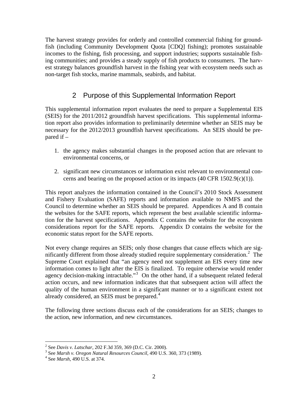<span id="page-3-0"></span>The harvest strategy provides for orderly and controlled commercial fishing for groundfish (including Community Development Quota [CDQ] fishing); promotes sustainable incomes to the fishing, fish processing, and support industries; supports sustainable fishing communities; and provides a steady supply of fish products to consumers. The harvest strategy balances groundfish harvest in the fishing year with ecosystem needs such as non-target fish stocks, marine mammals, seabirds, and habitat.

# 2 Purpose of this Supplemental Information Report

This supplemental information report evaluates the need to prepare a Supplemental EIS (SEIS) for the 2011/2012 groundfish harvest specifications. This supplemental information report also provides information to preliminarily determine whether an SEIS may be necessary for the 2012/2013 groundfish harvest specifications. An SEIS should be prepared if –

- 1. the agency makes substantial changes in the proposed action that are relevant to environmental concerns, or
- 2. significant new circumstances or information exist relevant to environmental concerns and bearing on the proposed action or its impacts  $(40 \text{ CFR } 1502.9(c)(1))$ .

This report analyzes the information contained in the Council's 2010 Stock Assessment and Fishery Evaluation (SAFE) reports and information available to NMFS and the Council to determine whether an SEIS should be prepared. Appendices A and B contain the websites for the SAFE reports, which represent the best available scientific information for the harvest specifications. Appendix C contains the website for the ecosystem considerations report for the SAFE reports. Appendix D contains the website for the economic status report for the SAFE reports.

Not every change requires an SEIS; only those changes that cause effects which are sig-nificantly different from those already studied require supplementary consideration.<sup>[2](#page-3-1)</sup> The Supreme Court explained that "an agency need not supplement an EIS every time new information comes to light after the EIS is finalized. To require otherwise would render agency decision-making intractable."<sup>[3](#page-3-2)</sup> On the other hand, if a subsequent related federal action occurs, and new information indicates that that subsequent action will affect the quality of the human environment in a significant manner or to a significant extent not already considered, an SEIS must be prepared.<sup>[4](#page-3-3)</sup>

The following three sections discuss each of the considerations for an SEIS; changes to the action, new information, and new circumstances.

<sup>&</sup>lt;sup>2</sup> See *Davis v. Latschar*, 202 F.3d 359, 369 (D.C. Cir. 2000).<br><sup>3</sup> See Marsh v. Oragon Natural Beseuress Council 400 U.S.

<span id="page-3-2"></span><span id="page-3-1"></span><sup>&</sup>lt;sup>3</sup> See *Marsh v. Oregon Natural Resources Council*, 490 U.S. 360, 373 (1989).

<span id="page-3-3"></span>See *Marsh*, 490 U.S. at 374.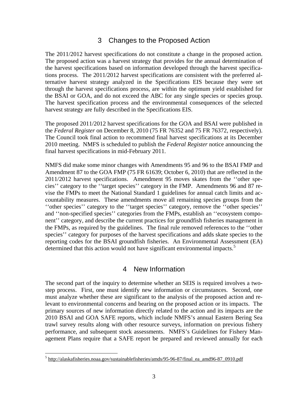## 3 Changes to the Proposed Action

<span id="page-4-0"></span>The 2011/2012 harvest specifications do not constitute a change in the proposed action. The proposed action was a harvest strategy that provides for the annual determination of the harvest specifications based on information developed through the harvest specifications process. The 2011/2012 harvest specifications are consistent with the preferred alternative harvest strategy analyzed in the Specifications EIS because they were set through the harvest specifications process, are within the optimum yield established for the BSAI or GOA, and do not exceed the ABC for any single species or species group. The harvest specification process and the environmental consequences of the selected harvest strategy are fully described in the Specifications EIS.

The proposed 2011/2012 harvest specifications for the GOA and BSAI were published in the *Federal Register* on December 8, 2010 (75 FR 76352 and 75 FR 76372, respectively). The Council took final action to recommend final harvest specifications at its December 2010 meeting. NMFS is scheduled to publish the *Federal Register* notice announcing the final harvest specifications in mid-February 2011.

NMFS did make some minor changes with Amendments 95 and 96 to the BSAI FMP and Amendment 87 to the GOA FMP (75 FR 61639; October 6, 2010) that are reflected in the 2011/2012 harvest specifications. Amendment 95 moves skates from the ''other species'' category to the ''target species'' category in the FMP. Amendments 96 and 87 revise the FMPs to meet the National Standard 1 guidelines for annual catch limits and accountability measures. These amendments move all remaining species groups from the ''other species'' category to the ''target species'' category, remove the ''other species'' and ''non-specified species'' categories from the FMPs, establish an ''ecosystem component'' category, and describe the current practices for groundfish fisheries management in the FMPs, as required by the guidelines. The final rule removed references to the ''other species'' category for purposes of the harvest specifications and adds skate species to the reporting codes for the BSAI groundfish fisheries. An Environmental Assessment (EA) determined that this action would not have significant environmental impacts.<sup>[5](#page-4-1)</sup>

## 4 New Information

The second part of the inquiry to determine whether an SEIS is required involves a twostep process. First, one must identify new information or circumstances. Second, one must analyze whether these are significant to the analysis of the proposed action and relevant to environmental concerns and bearing on the proposed action or its impacts. The primary sources of new information directly related to the action and its impacts are the 2010 BSAI and GOA SAFE reports, which include NMFS's annual Eastern Bering Sea trawl survey results along with other resource surveys, information on previous fishery performance, and subsequent stock assessments. NMFS's Guidelines for Fishery Management Plans require that a SAFE report be prepared and reviewed annually for each

<span id="page-4-1"></span> $5$  http://alaskafisheries.noaa.gov/sustainablefisheries/amds/95-96-87/final\_ea\_amd96-87\_0910.pdf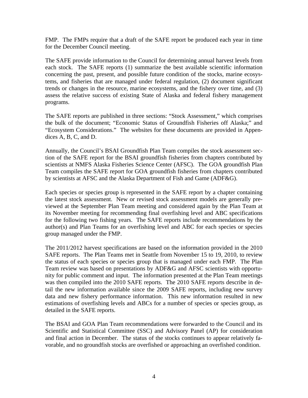FMP. The FMPs require that a draft of the SAFE report be produced each year in time for the December Council meeting.

The SAFE provide information to the Council for determining annual harvest levels from each stock. The SAFE reports (1) summarize the best available scientific information concerning the past, present, and possible future condition of the stocks, marine ecosystems, and fisheries that are managed under federal regulation, (2) document significant trends or changes in the resource, marine ecosystems, and the fishery over time, and (3) assess the relative success of existing State of Alaska and federal fishery management programs.

The SAFE reports are published in three sections: "Stock Assessment," which comprises the bulk of the document; "Economic Status of Groundfish Fisheries off Alaska;" and "Ecosystem Considerations." The websites for these documents are provided in Appendices A, B, C, and D.

Annually, the Council's BSAI Groundfish Plan Team compiles the stock assessment section of the SAFE report for the BSAI groundfish fisheries from chapters contributed by scientists at NMFS Alaska Fisheries Science Center (AFSC). The GOA groundfish Plan Team compiles the SAFE report for GOA groundfish fisheries from chapters contributed by scientists at AFSC and the Alaska Department of Fish and Game (ADF&G).

Each species or species group is represented in the SAFE report by a chapter containing the latest stock assessment. New or revised stock assessment models are generally previewed at the September Plan Team meeting and considered again by the Plan Team at its November meeting for recommending final overfishing level and ABC specifications for the following two fishing years. The SAFE reports include recommendations by the author(s) and Plan Teams for an overfishing level and ABC for each species or species group managed under the FMP.

The 2011/2012 harvest specifications are based on the information provided in the 2010 SAFE reports. The Plan Teams met in Seattle from November 15 to 19, 2010, to review the status of each species or species group that is managed under each FMP. The Plan Team review was based on presentations by ADF&G and AFSC scientists with opportunity for public comment and input. The information presented at the Plan Team meetings was then compiled into the 2010 SAFE reports. The 2010 SAFE reports describe in detail the new information available since the 2009 SAFE reports, including new survey data and new fishery performance information. This new information resulted in new estimations of overfishing levels and ABCs for a number of species or species group, as detailed in the SAFE reports.

The BSAI and GOA Plan Team recommendations were forwarded to the Council and its Scientific and Statistical Committee (SSC) and Advisory Panel (AP) for consideration and final action in December. The status of the stocks continues to appear relatively favorable, and no groundfish stocks are overfished or approaching an overfished condition.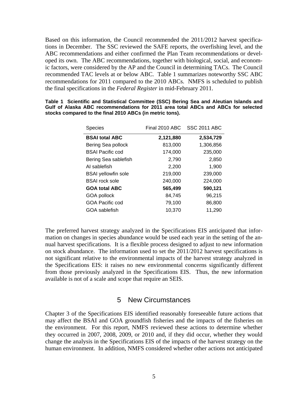<span id="page-6-0"></span>Based on this information, the Council recommended the 2011/2012 harvest specifications in December. The SSC reviewed the SAFE reports, the overfishing level, and the ABC recommendations and either confirmed the Plan Team recommendations or developed its own. The ABC recommendations, together with biological, social, and economic factors, were considered by the AP and the Council in determining TACs. The Council recommended TAC levels at or below ABC. Table 1 summarizes noteworthy SSC ABC recommendations for 2011 compared to the 2010 ABCs. NMFS is scheduled to publish the final specifications in the *Federal Register* in mid-February 2011.

| <b>Species</b>             | Final 2010 ABC | <b>SSC 2011 ABC</b> |  |  |  |
|----------------------------|----------------|---------------------|--|--|--|
| <b>BSAI total ABC</b>      | 2,121,880      | 2,534,729           |  |  |  |
| Bering Sea pollock         | 813,000        | 1,306,856           |  |  |  |
| <b>BSAI Pacific cod</b>    | 174,000        | 235,000             |  |  |  |
| Bering Sea sablefish       | 2,790          | 2,850               |  |  |  |
| AI sablefish               | 2,200          | 1,900               |  |  |  |
| <b>BSAI</b> yellowfin sole | 219,000        | 239,000             |  |  |  |
| <b>BSAI</b> rock sole      | 240,000        | 224,000             |  |  |  |
| <b>GOA total ABC</b>       | 565,499        | 590,121             |  |  |  |
| GOA pollock                | 84,745         | 96,215              |  |  |  |
| GOA Pacific cod            | 79,100         | 86,800              |  |  |  |
| GOA sablefish              | 10.370         | 11,290              |  |  |  |

|                                                          |  | Table 1 Scientific and Statistical Committee (SSC) Bering Sea and Aleutian Islands and |  |  |  |  |  |  |  |  |
|----------------------------------------------------------|--|----------------------------------------------------------------------------------------|--|--|--|--|--|--|--|--|
|                                                          |  | Gulf of Alaska ABC recommendations for 2011 area total ABCs and ABCs for selected      |  |  |  |  |  |  |  |  |
| stocks compared to the final 2010 ABCs (in metric tons). |  |                                                                                        |  |  |  |  |  |  |  |  |

The preferred harvest strategy analyzed in the Specifications EIS anticipated that information on changes in species abundance would be used each year in the setting of the annual harvest specifications. It is a flexible process designed to adjust to new information on stock abundance. The information used to set the 2011/2012 harvest specifications is not significant relative to the environmental impacts of the harvest strategy analyzed in the Specifications EIS: it raises no new environmental concerns significantly different from those previously analyzed in the Specifications EIS. Thus, the new information available is not of a scale and scope that require an SEIS.

#### 5 New Circumstances

Chapter 3 of the Specifications EIS identified reasonably foreseeable future actions that may affect the BSAI and GOA groundfish fisheries and the impacts of the fisheries on the environment. For this report, NMFS reviewed these actions to determine whether they occurred in 2007, 2008, 2009, or 2010 and, if they did occur, whether they would change the analysis in the Specifications EIS of the impacts of the harvest strategy on the human environment. In addition, NMFS considered whether other actions not anticipated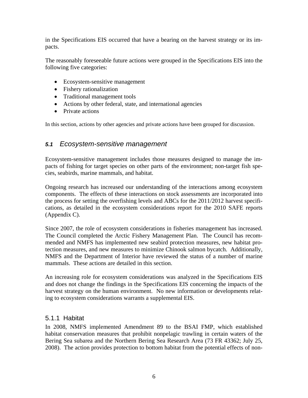<span id="page-7-0"></span>in the Specifications EIS occurred that have a bearing on the harvest strategy or its impacts.

The reasonably foreseeable future actions were grouped in the Specifications EIS into the following five categories:

- Ecosystem-sensitive management
- Fishery rationalization
- Traditional management tools
- Actions by other federal, state, and international agencies
- Private actions

In this section, actions by other agencies and private actions have been grouped for discussion.

#### *5.1 Ecosystem-sensitive management*

Ecosystem-sensitive management includes those measures designed to manage the impacts of fishing for target species on other parts of the environment; non-target fish species, seabirds, marine mammals, and habitat.

Ongoing research has increased our understanding of the interactions among ecosystem components. The effects of these interactions on stock assessments are incorporated into the process for setting the overfishing levels and ABCs for the 2011/2012 harvest specifications, as detailed in the ecosystem considerations report for the 2010 SAFE reports (Appendix C).

Since 2007, the role of ecosystem considerations in fisheries management has increased. The Council completed the Arctic Fishery Management Plan. The Council has recommended and NMFS has implemented new seabird protection measures, new habitat protection measures, and new measures to minimize Chinook salmon bycatch. Additionally, NMFS and the Department of Interior have reviewed the status of a number of marine mammals. These actions are detailed in this section.

An increasing role for ecosystem considerations was analyzed in the Specifications EIS and does not change the findings in the Specifications EIS concerning the impacts of the harvest strategy on the human environment. No new information or developments relating to ecosystem considerations warrants a supplemental EIS.

#### 5.1.1 Habitat

In 2008, NMFS implemented Amendment 89 to the BSAI FMP, which established habitat conservation measures that prohibit nonpelagic trawling in certain waters of the Bering Sea subarea and the Northern Bering Sea Research Area (73 FR 43362; July 25, 2008). The action provides protection to bottom habitat from the potential effects of non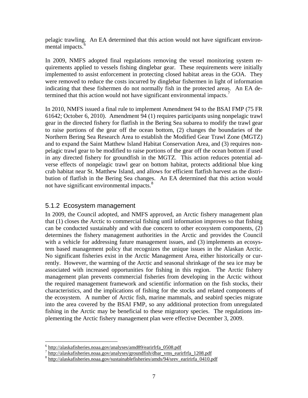<span id="page-8-0"></span>pelagic trawling. An EA determined that this action would not have significant environ-mental impacts.<sup>[6](#page-8-1)</sup>

In 2009, NMFS adopted final regulations removing the vessel monitoring system requirements applied to vessels fishing dinglebar gear. These requirements were initially implemented to assist enforcement in protecting closed habitat areas in the GOA. They were removed to reduce the costs incurred by dinglebar fishermen in light of information indicating that these fishermen do not normally fish in the protected areas. An EA de-termined that this action would not have significant environmental impacts.<sup>[7](#page-8-2)</sup>

In 2010, NMFS issued a final rule to implement Amendment 94 to the BSAI FMP (75 FR 61642; October 6, 2010). Amendment 94 (1) requires participants using nonpelagic trawl gear in the directed fishery for flatfish in the Bering Sea subarea to modify the trawl gear to raise portions of the gear off the ocean bottom, (2) changes the boundaries of the Northern Bering Sea Research Area to establish the Modified Gear Trawl Zone (MGTZ) and to expand the Saint Matthew Island Habitat Conservation Area, and (3) requires nonpelagic trawl gear to be modified to raise portions of the gear off the ocean bottom if used in any directed fishery for groundfish in the MGTZ. This action reduces potential adverse effects of nonpelagic trawl gear on bottom habitat, protects additional blue king crab habitat near St. Matthew Island, and allows for efficient flatfish harvest as the distribution of flatfish in the Bering Sea changes. An EA determined that this action would not have significant environmental impacts.<sup>[8](#page-8-3)</sup>

#### 5.1.2 Ecosystem management

In 2009, the Council adopted, and NMFS approved, an Arctic fishery management plan that (1) closes the Arctic to commercial fishing until information improves so that fishing can be conducted sustainably and with due concern to other ecosystem components, (2) determines the fishery management authorities in the Arctic and provides the Council with a vehicle for addressing future management issues, and (3) implements an ecosystem based management policy that recognizes the unique issues in the Alaskan Arctic. No significant fisheries exist in the Arctic Management Area, either historically or currently. However, the warming of the Arctic and seasonal shrinkage of the sea ice may be associated with increased opportunities for fishing in this region. The Arctic fishery management plan prevents commercial fisheries from developing in the Arctic without the required management framework and scientific information on the fish stocks, their characteristics, and the implications of fishing for the stocks and related components of the ecosystem. A number of Arctic fish, marine mammals, and seabird species migrate into the area covered by the BSAI FMP, so any additional protection from unregulated fishing in the Arctic may be beneficial to these migratory species. The regulations implementing the Arctic fishery management plan were effective December 3, 2009.

 $6$  http://alaskafisheries.noaa.gov/analyses/amd89/earirfrfa 0508.pdf

<span id="page-8-2"></span><span id="page-8-1"></span><sup>7&</sup>lt;br>http://alaskafisheries.noaa.gov/analyses/groundfish/dbar\_vms\_earirfrfa\_1208.pdf<br>8 http://alaskafisheries.noaa.gov/sustainablefisheries/amds/94/srev\_earirirfa\_0410.pdf

<span id="page-8-3"></span>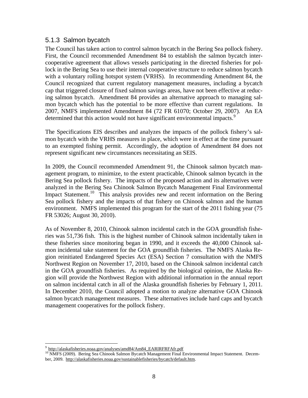#### <span id="page-9-0"></span>5.1.3 Salmon bycatch

The Council has taken action to control salmon bycatch in the Bering Sea pollock fishery. First, the Council recommended Amendment 84 to establish the salmon bycatch intercooperative agreement that allows vessels participating in the directed fisheries for pollock in the Bering Sea to use their internal cooperative structure to reduce salmon bycatch with a voluntary rolling hotspot system (VRHS). In recommending Amendment 84, the Council recognized that current regulatory management measures, including a bycatch cap that triggered closure of fixed salmon savings areas, have not been effective at reducing salmon bycatch. Amendment 84 provides an alternative approach to managing salmon bycatch which has the potential to be more effective than current regulations. In 2007, NMFS implemented Amendment 84 (72 FR 61070; October 29, 2007). An EA determined that this action would not have significant environmental impacts.<sup>[9](#page-9-1)</sup>

The Specifications EIS describes and analyzes the impacts of the pollock fishery's salmon bycatch with the VRHS measures in place, which were in effect at the time pursuant to an exempted fishing permit. Accordingly, the adoption of Amendment 84 does not represent significant new circumstances necessitating an SEIS.

In 2009, the Council recommended Amendment 91, the Chinook salmon bycatch management program, to minimize, to the extent practicable, Chinook salmon bycatch in the Bering Sea pollock fishery. The impacts of the proposed action and its alternatives were analyzed in the Bering Sea Chinook Salmon Bycatch Management Final Environmental Impact Statement.<sup>[10](#page-9-2)</sup> This analysis provides new and recent information on the Bering Sea pollock fishery and the impacts of that fishery on Chinook salmon and the human environment. NMFS implemented this program for the start of the 2011 fishing year (75 FR 53026; August 30, 2010).

As of November 8, 2010, Chinook salmon incidental catch in the GOA groundfish fisheries was 51,736 fish. This is the highest number of Chinook salmon incidentally taken in these fisheries since monitoring began in 1990, and it exceeds the 40,000 Chinook salmon incidental take statement for the GOA groundfish fisheries. The NMFS Alaska Region reinitiated Endangered Species Act (ESA) Section 7 consultation with the NMFS Northwest Region on November 17, 2010, based on the Chinook salmon incidental catch in the GOA groundfish fisheries. As required by the biological opinion, the Alaska Region will provide the Northwest Region with additional information in the annual report on salmon incidental catch in all of the Alaska groundfish fisheries by February 1, 2011. In December 2010, the Council adopted a motion to analyze alternative GOA Chinook salmon bycatch management measures. These alternatives include hard caps and bycatch management cooperatives for the pollock fishery.

<u>.</u>

<span id="page-9-2"></span><span id="page-9-1"></span>ber, 2009. http://alaskafisheries.noaa.gov/sustainablefisheries/bycatch/default.htm.  $\frac{9 \text{ http://alaskafisheries.noaa.gov/analyses/amd84/Am84-EARIRFRAfr.pdf}}{ \text{NMFS (2009).}$  Bering Sea Chinook Salmon Bycatch Management Final Environmental Impact Statement. Decem-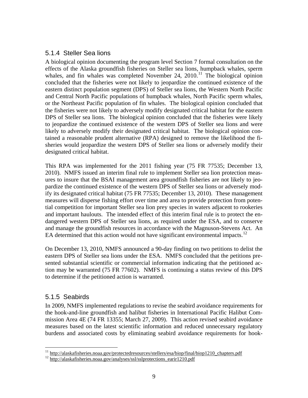#### <span id="page-10-0"></span>5.1.4 Steller Sea lions

A biological opinion documenting the program level Section 7 formal consultation on the effects of the Alaska groundfish fisheries on Steller sea lions, humpback whales, sperm whales, and fin whales was completed November 24,  $2010$ .<sup>[11](#page-10-1)</sup> The biological opinion concluded that the fisheries were not likely to jeopardize the continued existence of the eastern distinct population segment (DPS) of Steller sea lions, the Western North Pacific and Central North Pacific populations of humpback whales, North Pacific sperm whales, or the Northeast Pacific population of fin whales. The biological opinion concluded that the fisheries were not likely to adversely modify designated critical habitat for the eastern DPS of Steller sea lions. The biological opinion concluded that the fisheries were likely to jeopardize the continued existence of the western DPS of Steller sea lions and were likely to adversely modify their designated critical habitat. The biological opinion contained a reasonable prudent alternative (RPA) designed to remove the likelihood the fisheries would jeopardize the western DPS of Steller sea lions or adversely modify their designated critical habitat.

This RPA was implemented for the 2011 fishing year (75 FR 77535; December 13, 2010). NMFS issued an interim final rule to implement Steller sea lion protection measures to insure that the BSAI management area groundfish fisheries are not likely to jeopardize the continued existence of the western DPS of Steller sea lions or adversely modify its designated critical habitat (75 FR 77535; December 13, 2010). These management measures will disperse fishing effort over time and area to provide protection from potential competition for important Steller sea lion prey species in waters adjacent to rookeries and important haulouts. The intended effect of this interim final rule is to protect the endangered western DPS of Steller sea lions, as required under the ESA, and to conserve and manage the groundfish resources in accordance with the Magnuson-Stevens Act. An EA determined that this action would not have significant environmental impacts.<sup>[12](#page-10-2)</sup>

On December 13, 2010, NMFS announced a 90-day finding on two petitions to delist the eastern DPS of Steller sea lions under the ESA. NMFS concluded that the petitions presented substantial scientific or commercial information indicating that the petitioned action may be warranted (75 FR 77602). NMFS is continuing a status review of this DPS to determine if the petitioned action is warranted.

## 5.1.5 Seabirds

In 2009, NMFS implemented regulations to revise the seabird avoidance requirements for the hook-and-line groundfish and halibut fisheries in International Pacific Halibut Commission Area 4E (74 FR 13355; March 27, 2009). This action revised seabird avoidance measures based on the latest scientific information and reduced unnecessary regulatory burdens and associated costs by eliminating seabird avoidance requirements for hook-

<span id="page-10-1"></span> $\overline{a}$ <sup>11</sup> http://alaskafisheries.noaa.gov/protectedresources/stellers/esa/biop/final/biop1210\_chapters.pdf  $^{12}$  http://alaskafisheries.noaa.gov/analyses/ssl/sslprotections\_earir1210.pdf

<span id="page-10-2"></span>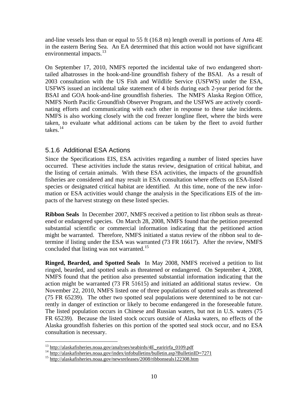<span id="page-11-0"></span>and-line vessels less than or equal to 55 ft (16.8 m) length overall in portions of Area 4E in the eastern Bering Sea. An EA determined that this action would not have significant environmental impacts.<sup>[13](#page-11-1)</sup>

On September 17, 2010, NMFS reported the incidental take of two endangered shorttailed albatrosses in the hook-and-line groundfish fishery of the BSAI. As a result of 2003 consultation with the US Fish and Wildlife Service (USFWS) under the ESA, USFWS issued an incidental take statement of 4 birds during each 2-year period for the BSAI and GOA hook-and-line groundfish fisheries. The NMFS Alaska Region Office, NMFS North Pacific Groundfish Observer Program, and the USFWS are actively coordinating efforts and communicating with each other in response to these take incidents. NMFS is also working closely with the cod freezer longline fleet, where the birds were taken, to evaluate what additional actions can be taken by the fleet to avoid further takes.[14](#page-11-2)

#### 5.1.6 Additional ESA Actions

Since the Specifications EIS, ESA activities regarding a number of listed species have occurred. These activities include the status review, designation of critical habitat, and the listing of certain animals. With these ESA activities, the impacts of the groundfish fisheries are considered and may result in ESA consultation where effects on ESA-listed species or designated critical habitat are identified. At this time, none of the new information or ESA activities would change the analysis in the Specifications EIS of the impacts of the harvest strategy on these listed species.

concluded that listing was not warranted.<sup>[15](#page-11-3)</sup> **Ribbon Seals** In December 2007, NMFS received a petition to list ribbon seals as threatened or endangered species. On March 28, 2008, NMFS found that the petition presented substantial scientific or commercial information indicating that the petitioned action might be warranted. Therefore, NMFS initiated a status review of the ribbon seal to determine if listing under the ESA was warranted (73 FR 16617). After the review, NMFS

**Ringed, Bearded, and Spotted Seals** In May 2008, NMFS received a petition to list ringed, bearded, and spotted seals as threatened or endangered. On September 4, 2008, NMFS found that the petition also presented substantial information indicating that the action might be warranted (73 FR 51615) and initiated an additional status review. On November 22, 2010, NMFS listed one of three populations of spotted seals as threatened (75 FR 65239). The other two spotted seal populations were determined to be not currently in danger of extinction or likely to become endangered in the foreseeable future. The listed population occurs in Chinese and Russian waters, but not in U.S. waters (75 FR 65239). Because the listed stock occurs outside of Alaska waters, no effects of the Alaska groundfish fisheries on this portion of the spotted seal stock occur, and no ESA consultation is necessary.

<span id="page-11-1"></span><sup>&</sup>lt;sup>13</sup> http://alaskafisheries.noaa.gov/analyses/seabirds/4E\_earirirfa\_0109.pdf

<span id="page-11-3"></span><span id="page-11-2"></span><sup>&</sup>lt;sup>14</sup> http://alaskafisheries.noaa.gov/index/infobulletins/bulletin.asp?BulletinID=7271<br><sup>15</sup> http://alaskafisheries.noaa.gov/newsreleases/2008/ribbonseals122308.htm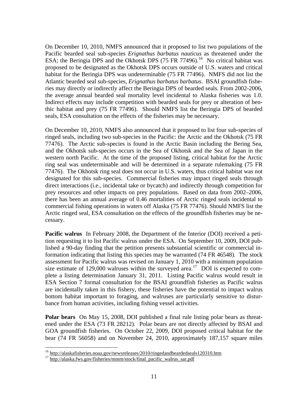On December 10, 2010, NMFS announced that it proposed to list two populations of the Pacific bearded seal sub-species *Erignathus barbatus nauticus* as threatened under the ESA; the Beringia DPS and the Okhotsk DPS  $(75 \text{ FR } 77496)$ <sup>[16](#page-12-0)</sup> No critical habitat was proposed to be designated as the Okhotsk DPS occurs outside of U.S. waters and critical habitat for the Beringia DPS was undeterminable (75 FR 77496). NMFS did not list the Atlantic bearded seal sub-species, *Erignathus barbatus barbatus*. BSAI groundfish fisheries may directly or indirectly affect the Beringia DPS of bearded seals. From 2002-2006, the average annual bearded seal mortality level incidental to Alaska fisheries was 1.0. Indirect effects may include competition with bearded seals for prey or alteration of benthic habitat and prey (75 FR 77496). Should NMFS list the Beringia DPS of bearded seals, ESA consultation on the effects of the fisheries may be necessary.

On December 10, 2010, NMFS also announced that it proposed to list four sub-species of ringed seals, including two sub-species in the Pacific: the Arctic and the Okhotsk (75 FR 77476). The Arctic sub-species is found in the Arctic Basin including the Bering Sea, and the Okhotsk sub-species occurs in the Sea of Okhotsk and the Sea of Japan in the western north Pacific. At the time of the proposed listing, critical habitat for the Arctic ring seal was undeterminable and will be determined in a separate rulemaking (75 FR 77476). The Okhotsk ring seal does not occur in U.S. waters, thus critical habitat was not designated for this sub-species. Commercial fisheries may impact ringed seals through direct interactions (i.e., incidental take or bycatch) and indirectly through competition for prey resources and other impacts on prey populations. Based on data from 2002–2006, there has been an annual average of 0.46 mortalities of Arctic ringed seals incidental to commercial fishing operations in waters off Alaska (75 FR 77476). Should NMFS list the Arctic ringed seal, ESA consultation on the effects of the groundfish fisheries may be necessary.

**Pacific walrus** In February 2008, the Department of the Interior (DOI) received a petition requesting it to list Pacific walrus under the ESA. On September 10, 2009, DOI published a 90-day finding that the petition presents substantial scientific or commercial information indicating that listing this species may be warranted (74 FR 46548). The stock assessment for Pacific walrus was revised on January 1, 2010 with a minimum population size estimate of 129,000 walruses within the surveyed area.<sup>[17](#page-12-1)</sup> DOI is expected to complete a listing determination January 31, 2011. Listing Pacific walrus would result in ESA Section 7 formal consultation for the BSAI groundfish fisheries as Pacific walrus are incidentally taken in this fishery, these fisheries have the potential to impact walrus bottom habitat important to foraging, and walruses are particularly sensitive to disturbance from human activities, including fishing vessel activities.

**Polar bears** On May 15, 2008, DOI published a final rule listing polar bears as threatened under the ESA (73 FR 28212). Polar bears are not directly affected by BSAI and GOA groundfish fisheries. On October 22, 2009, DOI proposed critical habitat for the bear (74 FR 56058) and on November 24, 2010, approximately 187,157 square miles

<span id="page-12-0"></span><sup>&</sup>lt;sup>16</sup> http://alaskafisheries.noaa.gov/newsreleases/2010/ringedandbeardedseals120310.htm<br><sup>17</sup> http://alaska.fws.gov/fisheries/mmm/stock/final\_pacific\_walrus\_sar.pdf

<span id="page-12-1"></span>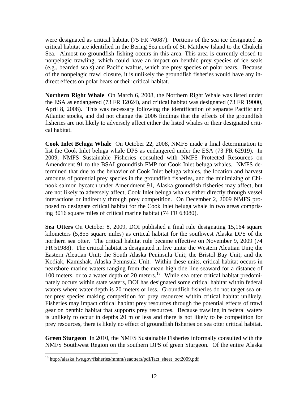were designated as critical habitat (75 FR 76087). Portions of the sea ice designated as critical habitat are identified in the Bering Sea north of St. Matthew Island to the Chukchi Sea. Almost no groundfish fishing occurs in this area. This area is currently closed to nonpelagic trawling, which could have an impact on benthic prey species of ice seals (e.g., bearded seals) and Pacific walrus, which are prey species of polar bears. Because of the nonpelagic trawl closure, it is unlikely the groundfish fisheries would have any indirect effects on polar bears or their critical habitat.

**Northern Right Whale** On March 6, 2008, the Northern Right Whale was listed under the ESA as endangered (73 FR 12024), and critical habitat was designated (73 FR 19000, April 8, 2008). This was necessary following the identification of separate Pacific and Atlantic stocks, and did not change the 2006 findings that the effects of the groundfish fisheries are not likely to adversely affect either the listed whales or their designated critical habitat.

**Cook Inlet Beluga Whale** On October 22, 2008, NMFS made a final determination to list the Cook Inlet beluga whale DPS as endangered under the ESA (73 FR 62919). In 2009, NMFS Sustainable Fisheries consulted with NMFS Protected Resources on Amendment 91 to the BSAI groundfish FMP for Cook Inlet beluga whales. NMFS determined that due to the behavior of Cook Inlet beluga whales, the location and harvest amounts of potential prey species in the groundfish fisheries, and the minimizing of Chinook salmon bycatch under Amendment 91, Alaska groundfish fisheries may affect, but are not likely to adversely affect, Cook Inlet beluga whales either directly through vessel interactions or indirectly through prey competition. On December 2, 2009 NMFS proposed to designate critical habitat for the Cook Inlet beluga whale in two areas comprising 3016 square miles of critical marine habitat (74 FR 63080).

**Sea Otters** On October 8, 2009, DOI published a final rule designating 15,164 square kilometers (5,855 square miles) as critical habitat for the southwest Alaska DPS of the northern sea otter. The critical habitat rule became effective on November 9, 2009 (74 FR 51988). The critical habitat is designated in five units: the Western Aleutian Unit; the Eastern Aleutian Unit; the South Alaska Peninsula Unit; the Bristol Bay Unit; and the Kodiak, Kamishak, Alaska Peninsula Unit. Within these units, critical habitat occurs in nearshore marine waters ranging from the mean high tide line seaward for a distance of 100 meters, or to a water depth of 20 meters.<sup>[18](#page-13-0)</sup> While sea otter critical habitat predominately occurs within state waters, DOI has designated some critical habitat within federal waters where water depth is 20 meters or less. Groundfish fisheries do not target sea otter prey species making competition for prey resources within critical habitat unlikely. Fisheries may impact critical habitat prey resources through the potential effects of trawl gear on benthic habitat that supports prey resources. Because trawling in federal waters is unlikely to occur in depths 20 m or less and there is not likely to be competition for prey resources, there is likely no effect of groundfish fisheries on sea otter critical habitat.

**Green Sturgeon** In 2010, the NMFS Sustainable Fisheries informally consulted with the NMFS Southwest Region on the southern DPS of green Sturgeon. Of the entire Alaska

<span id="page-13-0"></span><sup>&</sup>lt;sup>18</sup> http://alaska.fws.gov/fisheries/mmm/seaotters/pdf/fact\_sheet\_oct2009.pdf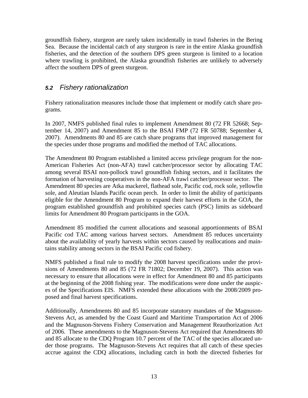<span id="page-14-0"></span>groundfish fishery, sturgeon are rarely taken incidentally in trawl fisheries in the Bering Sea. Because the incidental catch of any sturgeon is rare in the entire Alaska groundfish fisheries, and the detection of the southern DPS green sturgeon is limited to a location where trawling is prohibited, the Alaska groundfish fisheries are unlikely to adversely affect the southern DPS of green sturgeon.

## *5.2 Fishery rationalization*

Fishery rationalization measures include those that implement or modify catch share programs.

In 2007, NMFS published final rules to implement Amendment 80 (72 FR 52668; September 14, 2007) and Amendment 85 to the BSAI FMP (72 FR 50788; September 4, 2007). Amendments 80 and 85 are catch share programs that improved management for the species under those programs and modified the method of TAC allocations.

The Amendment 80 Program established a limited access privilege program for the non-American Fisheries Act (non-AFA) trawl catcher/processor sector by allocating TAC among several BSAI non-pollock trawl groundfish fishing sectors, and it facilitates the formation of harvesting cooperatives in the non-AFA trawl catcher/processor sector. The Amendment 80 species are Atka mackerel, flathead sole, Pacific cod, rock sole, yellowfin sole, and Aleutian Islands Pacific ocean perch. In order to limit the ability of participants eligible for the Amendment 80 Program to expand their harvest efforts in the GOA, the program established groundfish and prohibited species catch (PSC) limits as sideboard limits for Amendment 80 Program participants in the GOA.

Amendment 85 modified the current allocations and seasonal apportionments of BSAI Pacific cod TAC among various harvest sectors. Amendment 85 reduces uncertainty about the availability of yearly harvests within sectors caused by reallocations and maintains stability among sectors in the BSAI Pacific cod fishery.

NMFS published a final rule to modify the 2008 harvest specifications under the provisions of Amendments 80 and 85 (72 FR 71802; December 19, 2007). This action was necessary to ensure that allocations were in effect for Amendment 80 and 85 participants at the beginning of the 2008 fishing year. The modifications were done under the auspices of the Specifications EIS. NMFS extended these allocations with the 2008/2009 proposed and final harvest specifications.

Additionally, Amendments 80 and 85 incorporate statutory mandates of the Magnuson-Stevens Act, as amended by the Coast Guard and Maritime Transportation Act of 2006 and the Magnuson-Stevens Fishery Conservation and Management Reauthorization Act of 2006. These amendments to the Magnuson-Stevens Act required that Amendments 80 and 85 allocate to the CDQ Program 10.7 percent of the TAC of the species allocated under those programs. The Magnuson-Stevens Act requires that all catch of these species accrue against the CDQ allocations, including catch in both the directed fisheries for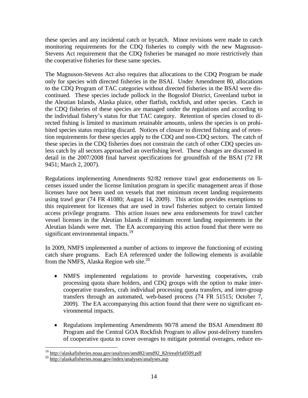these species and any incidental catch or bycatch. Minor revisions were made to catch monitoring requirements for the CDQ fisheries to comply with the new Magnuson-Stevens Act requirement that the CDQ fisheries be managed no more restrictively than the cooperative fisheries for these same species.

The Magnuson-Stevens Act also requires that allocations to the CDQ Program be made only for species with directed fisheries in the BSAI. Under Amendment 80, allocations to the CDQ Program of TAC categories without directed fisheries in the BSAI were discontinued. These species include pollock in the Bogoslof District, Greenland turbot in the Aleutian Islands, Alaska plaice, other flatfish, rockfish, and other species. Catch in the CDQ fisheries of these species are managed under the regulations and according to the individual fishery's status for that TAC category. Retention of species closed to directed fishing is limited to maximum retainable amounts, unless the species is on prohibited species status requiring discard. Notices of closure to directed fishing and of retention requirements for these species apply to the CDQ and non-CDQ sectors. The catch of these species in the CDQ fisheries does not constrain the catch of other CDQ species unless catch by all sectors approached an overfishing level. These changes are discussed in detail in the 2007/2008 final harvest specifications for groundfish of the BSAI (72 FR 9451; March 2, 2007).

significant environmental impacts.<sup>[19](#page-15-0)</sup> Regulations implementing Amendments 92/82 remove trawl gear endorsements on licenses issued under the license limitation program in specific management areas if those licenses have not been used on vessels that met minimum recent landing requirements using trawl gear (74 FR 41080; August 14, 2009). This action provides exemptions to this requirement for licenses that are used in trawl fisheries subject to certain limited access privilege programs. This action issues new area endorsements for trawl catcher vessel licenses in the Aleutian Islands if minimum recent landing requirements in the Aleutian Islands were met.The EA accompanying this action found that there were no

In 2009, NMFS implemented a number of actions to improve the functioning of existing catch share programs. Each EA referenced under the following elements is available from the NMFS, Alaska Region web site. $^{20}$  $^{20}$  $^{20}$ 

- NMFS implemented regulations to provide harvesting cooperatives, crab processing quota share holders, and CDQ groups with the option to make intercooperative transfers, crab individual processing quota transfers, and inter-group transfers through an automated, web-based process (74 FR 51515; October 7, 2009). The EA accompanying this action found that there were no significant environmental impacts.
- Regulations implementing Amendments 90/78 amend the BSAI Amendment 80 Program and the Central GOA Rockfish Program to allow post-delivery transfers of cooperative quota to cover overages to mitigate potential overages, reduce en-

1

<span id="page-15-0"></span><sup>&</sup>lt;sup>19</sup> http://alaskafisheries.noaa.gov/analyses/amd82/amd92\_82rireafrfa0509.pdf<br><sup>20</sup> http://alaskafisheries.noaa.gov/index/analyses/analyses.asp

<span id="page-15-1"></span>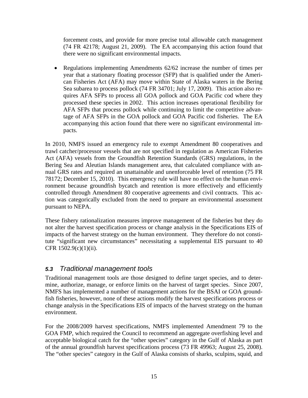<span id="page-16-0"></span>forcement costs, and provide for more precise total allowable catch management (74 FR 42178; August 21, 2009). The EA accompanying this action found that there were no significant environmental impacts.

• Regulations implementing Amendments 62/62 increase the number of times per year that a stationary floating processor (SFP) that is qualified under the American Fisheries Act (AFA) may move within State of Alaska waters in the Bering Sea subarea to process pollock (74 FR 34701; July 17, 2009). This action also requires AFA SFPs to process all GOA pollock and GOA Pacific cod where they processed these species in 2002. This action increases operational flexibility for AFA SFPs that process pollock while continuing to limit the competitive advantage of AFA SFPs in the GOA pollock and GOA Pacific cod fisheries. The EA accompanying this action found that there were no significant environmental impacts.

In 2010, NMFS issued an emergency rule to exempt Amendment 80 cooperatives and trawl catcher/processor vessels that are not specified in regulation as American Fisheries Act (AFA) vessels from the Groundfish Retention Standards (GRS) regulations, in the Bering Sea and Aleutian Islands management area, that calculated compliance with annual GRS rates and required an unattainable and unenforceable level of retention (75 FR 78172; December 15, 2010). This emergency rule will have no effect on the human environment because groundfish bycatch and retention is more effectively and efficiently controlled through Amendment 80 cooperative agreements and civil contracts. This action was categorically excluded from the need to prepare an environmental assessment pursuant to NEPA.

These fishery rationalization measures improve management of the fisheries but they do not alter the harvest specification process or change analysis in the Specifications EIS of impacts of the harvest strategy on the human environment. They therefore do not constitute "significant new circumstances" necessitating a supplemental EIS pursuant to 40 CFR 1502.9(c)(1)(ii).

## *5.3 Traditional management tools*

Traditional management tools are those designed to define target species, and to determine, authorize, manage, or enforce limits on the harvest of target species. Since 2007, NMFS has implemented a number of management actions for the BSAI or GOA groundfish fisheries, however, none of these actions modify the harvest specifications process or change analysis in the Specifications EIS of impacts of the harvest strategy on the human environment.

For the 2008/2009 harvest specifications, NMFS implemented Amendment 79 to the GOA FMP, which required the Council to recommend an aggregate overfishing level and acceptable biological catch for the "other species" category in the Gulf of Alaska as part of the annual groundfish harvest specifications process (73 FR 49963; August 25, 2008). The "other species" category in the Gulf of Alaska consists of sharks, sculpins, squid, and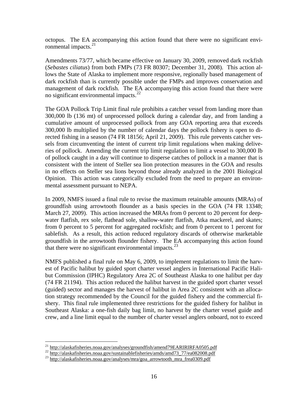octopus. The EA accompanying this action found that there were no significant envi-ronmental impacts.<sup>[21](#page-17-0)</sup>

Amendments 73/77, which became effective on January 30, 2009, removed dark rockfish (*Sebastes ciliatus*) from both FMPs (73 FR 80307; December 31, 2008). This action allows the State of Alaska to implement more responsive, regionally based management of dark rockfish than is currently possible under the FMPs and improves conservation and management of dark rockfish. The EA accompanying this action found that there were no significant environmental impacts. $^{22}$  $^{22}$  $^{22}$ 

The GOA Pollock Trip Limit final rule prohibits a catcher vessel from landing more than 300,000 lb (136 mt) of unprocessed pollock during a calendar day, and from landing a cumulative amount of unprocessed pollock from any GOA reporting area that exceeds 300,000 lb multiplied by the number of calendar days the pollock fishery is open to directed fishing in a season (74 FR 18156; April 21, 2009). This rule prevents catcher vessels from circumventing the intent of current trip limit regulations when making deliveries of pollock. Amending the current trip limit regulation to limit a vessel to 300,000 lb of pollock caught in a day will continue to disperse catches of pollock in a manner that is consistent with the intent of Steller sea lion protection measures in the GOA and results in no effects on Steller sea lions beyond those already analyzed in the 2001 Biological Opinion. This action was categorically excluded from the need to prepare an environmental assessment pursuant to NEPA.

In 2009, NMFS issued a final rule to revise the maximum retainable amounts (MRAs) of groundfish using arrowtooth flounder as a basis species in the GOA (74 FR 13348; March 27, 2009). This action increased the MRAs from 0 percent to 20 percent for deepwater flatfish, rex sole, flathead sole, shallow-water flatfish, Atka mackerel, and skates; from 0 percent to 5 percent for aggregated rockfish; and from 0 percent to 1 percent for sablefish. As a result, this action reduced regulatory discards of otherwise marketable groundfish in the arrowtooth flounder fishery. The EA accompanying this action found that there were no significant environmental impacts. $^{23}$  $^{23}$  $^{23}$ 

NMFS published a final rule on May 6, 2009, to implement regulations to limit the harvest of Pacific halibut by guided sport charter vessel anglers in International Pacific Halibut Commission (IPHC) Regulatory Area 2C of Southeast Alaska to one halibut per day (74 FR 21194). This action reduced the halibut harvest in the guided sport charter vessel (guided) sector and manages the harvest of halibut in Area 2C consistent with an allocation strategy recommended by the Council for the guided fishery and the commercial fishery. This final rule implemented three restrictions for the guided fishery for halibut in Southeast Alaska: a one-fish daily bag limit, no harvest by the charter vessel guide and crew, and a line limit equal to the number of charter vessel anglers onboard, not to exceed

<span id="page-17-0"></span><sup>&</sup>lt;sup>21</sup> http://alaskafisheries.noaa.gov/analyses/groundfish/amend79EARIRIRFA0505.pdf

<span id="page-17-1"></span><sup>22&</sup>lt;br>http://alaskafisheries.noaa.gov/sustainablefisheries/amds/amd73\_77/ea082008.pdf<br>23 http://alaskafisheries.noaa.gov/analyses/mra/goa\_arrowtooth\_mra\_frea0309.pdf

<span id="page-17-2"></span>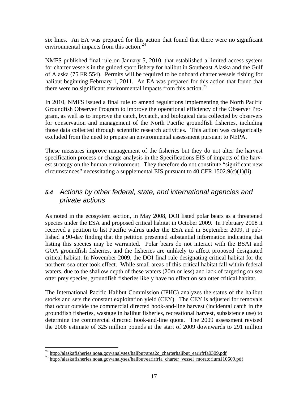<span id="page-18-0"></span>six lines. An EA was prepared for this action that found that there were no significant environmental impacts from this action. $^{24}$  $^{24}$  $^{24}$ 

NMFS published final rule on January 5, 2010, that established a limited access system for charter vessels in the guided sport fishery for halibut in Southeast Alaska and the Gulf of Alaska (75 FR 554). Permits will be required to be onboard charter vessels fishing for halibut beginning February 1, 2011. An EA was prepared for this action that found that there were no significant environmental impacts from this action.<sup>[25](#page-18-2)</sup>

In 2010, NMFS issued a final rule to amend regulations implementing the North Pacific Groundfish Observer Program to improve the operational efficiency of the Observer Program, as well as to improve the catch, bycatch, and biological data collected by observers for conservation and management of the North Pacific groundfish fisheries, including those data collected through scientific research activities. This action was categorically excluded from the need to prepare an environmental assessment pursuant to NEPA.

These measures improve management of the fisheries but they do not alter the harvest specification process or change analysis in the Specifications EIS of impacts of the harvest strategy on the human environment. They therefore do not constitute "significant new circumstances" necessitating a supplemental EIS pursuant to 40 CFR 1502.9(c)(1)(ii).

# *5.4 Actions by other federal, state, and international agencies and private actions*

As noted in the ecosystem section, in May 2008, DOI listed polar bears as a threatened species under the ESA and proposed critical habitat in October 2009. In February 2008 it received a petition to list Pacific walrus under the ESA and in September 2009, it published a 90-day finding that the petition presented substantial information indicating that listing this species may be warranted. Polar bears do not interact with the BSAI and GOA groundfish fisheries, and the fisheries are unlikely to affect proposed designated critical habitat. In November 2009, the DOI final rule designating critical habitat for the northern sea otter took effect. While small areas of this critical habitat fall within federal waters, due to the shallow depth of these waters (20m or less) and lack of targeting on sea otter prey species, groundfish fisheries likely have no effect on sea otter critical habitat.

The International Pacific Halibut Commission (IPHC) analyzes the status of the halibut stocks and sets the constant exploitation yield (CEY). The CEY is adjusted for removals that occur outside the commercial directed hook-and-line harvest (incidental catch in the groundfish fisheries, wastage in halibut fisheries, recreational harvest, subsistence use) to determine the commercial directed hook-and-line quota. The 2009 assessment revised the 2008 estimate of 325 million pounds at the start of 2009 downwards to 291 million

<span id="page-18-1"></span><sup>&</sup>lt;sup>24</sup> http://alaskafisheries.noaa.gov/analyses/halibut/area2c\_charterhalibut\_earirfrfa0309.pdf

<span id="page-18-2"></span><sup>&</sup>lt;sup>25</sup> http://alaskafisheries.noaa.gov/analyses/halibut/earirfrfa\_charter\_vessel\_moratorium110609.pdf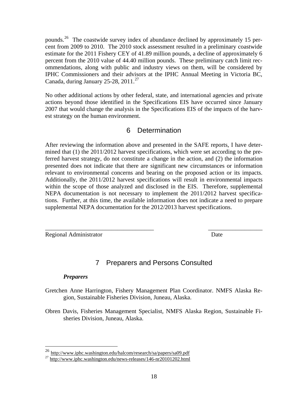<span id="page-19-0"></span>pounds.[26](#page-19-1) The coastwide survey index of abundance declined by approximately 15 percent from 2009 to 2010. The 2010 stock assessment resulted in a preliminary coastwide estimate for the 2011 Fishery CEY of 41.89 million pounds, a decline of approximately 6 percent from the 2010 value of 44.40 million pounds. These preliminary catch limit recommendations, along with public and industry views on them, will be considered by IPHC Commissioners and their advisors at the IPHC Annual Meeting in Victoria BC, Canada, during January 25-28, 2011. $^{27}$  $^{27}$  $^{27}$ 

No other additional actions by other federal, state, and international agencies and private actions beyond those identified in the Specifications EIS have occurred since January 2007 that would change the analysis in the Specifications EIS of the impacts of the harvest strategy on the human environment.

## 6 Determination

After reviewing the information above and presented in the SAFE reports, I have determined that (1) the 2011/2012 harvest specifications, which were set according to the preferred harvest strategy, do not constitute a change in the action, and (2) the information presented does not indicate that there are significant new circumstances or information relevant to environmental concerns and bearing on the proposed action or its impacts. Additionally, the 2011/2012 harvest specifications will result in environmental impacts within the scope of those analyzed and disclosed in the EIS. Therefore, supplemental NEPA documentation is not necessary to implement the 2011/2012 harvest specifications. Further, at this time, the available information does not indicate a need to prepare supplemental NEPA documentation for the 2012/2013 harvest specifications.

Regional Administrator Date

# 7 Preparers and Persons Consulted

\_\_\_\_\_\_\_\_\_\_\_\_\_\_\_\_\_\_\_\_\_\_\_\_\_\_\_\_\_\_\_\_\_\_\_\_ \_\_\_\_\_\_\_\_\_\_\_\_\_\_\_\_\_\_

#### *Preparers*

- Gretchen Anne Harrington, Fishery Management Plan Coordinator. NMFS Alaska Region, Sustainable Fisheries Division, Juneau, Alaska.
- Obren Davis, Fisheries Management Specialist, NMFS Alaska Region, Sustainable Fisheries Division, Juneau, Alaska.

<span id="page-19-1"></span><sup>&</sup>lt;sup>26</sup> http://www.iphc.washington.edu/halcom/research/sa/papers/sa09.pdf

<span id="page-19-2"></span> $^{27}$  http://www.iphc.washington.edu/news-releases/146-nr20101202.html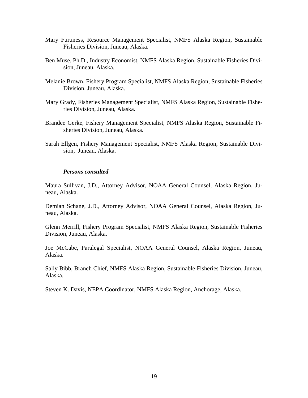- Mary Furuness, Resource Management Specialist, NMFS Alaska Region, Sustainable Fisheries Division, Juneau, Alaska.
- Ben Muse, Ph.D., Industry Economist, NMFS Alaska Region, Sustainable Fisheries Division, Juneau, Alaska.
- Melanie Brown, Fishery Program Specialist, NMFS Alaska Region, Sustainable Fisheries Division, Juneau, Alaska.
- Mary Grady, Fisheries Management Specialist, NMFS Alaska Region, Sustainable Fisheries Division, Juneau, Alaska.
- Brandee Gerke, Fishery Management Specialist, NMFS Alaska Region, Sustainable Fisheries Division, Juneau, Alaska.
- Sarah Ellgen, Fishery Management Specialist, NMFS Alaska Region, Sustainable Division, Juneau, Alaska.

#### *Persons consulted*

Maura Sullivan, J.D., Attorney Advisor, NOAA General Counsel, Alaska Region, Juneau, Alaska.

Demian Schane, J.D., Attorney Advisor, NOAA General Counsel, Alaska Region, Juneau, Alaska.

Glenn Merrill, Fishery Program Specialist, NMFS Alaska Region, Sustainable Fisheries Division, Juneau, Alaska.

Joe McCabe, Paralegal Specialist, NOAA General Counsel, Alaska Region, Juneau, Alaska.

Sally Bibb, Branch Chief, NMFS Alaska Region, Sustainable Fisheries Division, Juneau, Alaska.

Steven K. Davis, NEPA Coordinator, NMFS Alaska Region, Anchorage, Alaska.